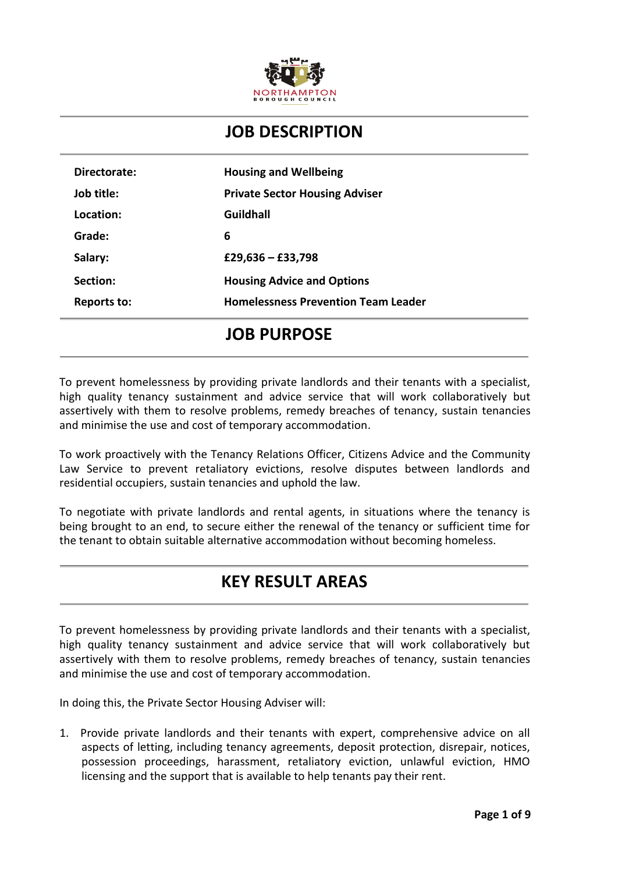

#### **JOB DESCRIPTION**

| Directorate: | <b>Housing and Wellbeing</b>               |
|--------------|--------------------------------------------|
| Job title:   | <b>Private Sector Housing Adviser</b>      |
| Location:    | Guildhall                                  |
| Grade:       | 6                                          |
| Salary:      | £29,636 – £33,798                          |
| Section:     | <b>Housing Advice and Options</b>          |
| Reports to:  | <b>Homelessness Prevention Team Leader</b> |

## **JOB PURPOSE**

To prevent homelessness by providing private landlords and their tenants with a specialist, high quality tenancy sustainment and advice service that will work collaboratively but assertively with them to resolve problems, remedy breaches of tenancy, sustain tenancies and minimise the use and cost of temporary accommodation.

To work proactively with the Tenancy Relations Officer, Citizens Advice and the Community Law Service to prevent retaliatory evictions, resolve disputes between landlords and residential occupiers, sustain tenancies and uphold the law.

To negotiate with private landlords and rental agents, in situations where the tenancy is being brought to an end, to secure either the renewal of the tenancy or sufficient time for the tenant to obtain suitable alternative accommodation without becoming homeless.

## **KEY RESULT AREAS**

To prevent homelessness by providing private landlords and their tenants with a specialist, high quality tenancy sustainment and advice service that will work collaboratively but assertively with them to resolve problems, remedy breaches of tenancy, sustain tenancies and minimise the use and cost of temporary accommodation.

In doing this, the Private Sector Housing Adviser will:

1. Provide private landlords and their tenants with expert, comprehensive advice on all aspects of letting, including tenancy agreements, deposit protection, disrepair, notices, possession proceedings, harassment, retaliatory eviction, unlawful eviction, HMO licensing and the support that is available to help tenants pay their rent.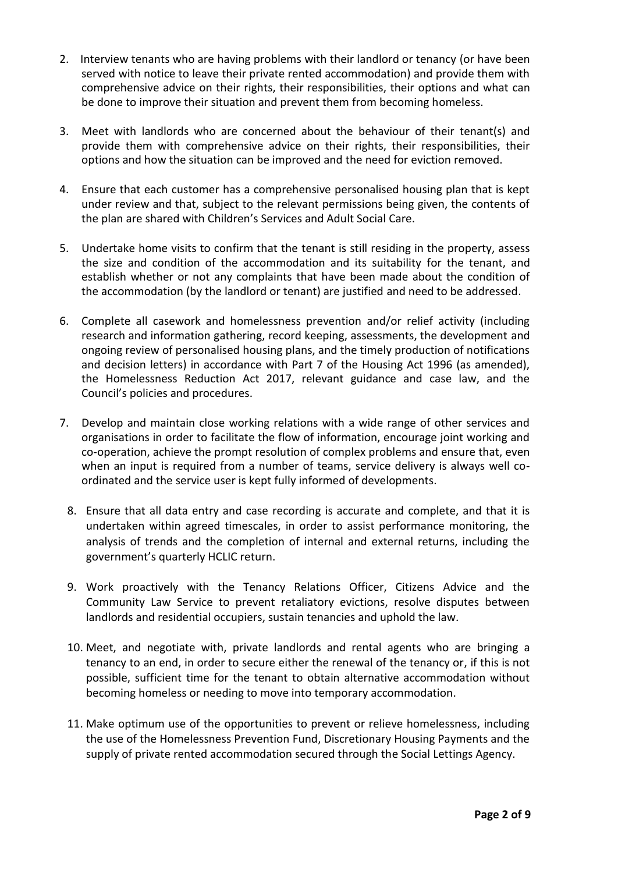- 2. Interview tenants who are having problems with their landlord or tenancy (or have been served with notice to leave their private rented accommodation) and provide them with comprehensive advice on their rights, their responsibilities, their options and what can be done to improve their situation and prevent them from becoming homeless.
- 3. Meet with landlords who are concerned about the behaviour of their tenant(s) and provide them with comprehensive advice on their rights, their responsibilities, their options and how the situation can be improved and the need for eviction removed.
- 4. Ensure that each customer has a comprehensive personalised housing plan that is kept under review and that, subject to the relevant permissions being given, the contents of the plan are shared with Children's Services and Adult Social Care.
- 5. Undertake home visits to confirm that the tenant is still residing in the property, assess the size and condition of the accommodation and its suitability for the tenant, and establish whether or not any complaints that have been made about the condition of the accommodation (by the landlord or tenant) are justified and need to be addressed.
- 6. Complete all casework and homelessness prevention and/or relief activity (including research and information gathering, record keeping, assessments, the development and ongoing review of personalised housing plans, and the timely production of notifications and decision letters) in accordance with Part 7 of the Housing Act 1996 (as amended), the Homelessness Reduction Act 2017, relevant guidance and case law, and the Council's policies and procedures.
- 7. Develop and maintain close working relations with a wide range of other services and organisations in order to facilitate the flow of information, encourage joint working and co-operation, achieve the prompt resolution of complex problems and ensure that, even when an input is required from a number of teams, service delivery is always well coordinated and the service user is kept fully informed of developments.
- 8. Ensure that all data entry and case recording is accurate and complete, and that it is undertaken within agreed timescales, in order to assist performance monitoring, the analysis of trends and the completion of internal and external returns, including the government's quarterly HCLIC return.
- 9. Work proactively with the Tenancy Relations Officer, Citizens Advice and the Community Law Service to prevent retaliatory evictions, resolve disputes between landlords and residential occupiers, sustain tenancies and uphold the law.
- 10. Meet, and negotiate with, private landlords and rental agents who are bringing a tenancy to an end, in order to secure either the renewal of the tenancy or, if this is not possible, sufficient time for the tenant to obtain alternative accommodation without becoming homeless or needing to move into temporary accommodation.
- 11. Make optimum use of the opportunities to prevent or relieve homelessness, including the use of the Homelessness Prevention Fund, Discretionary Housing Payments and the supply of private rented accommodation secured through the Social Lettings Agency.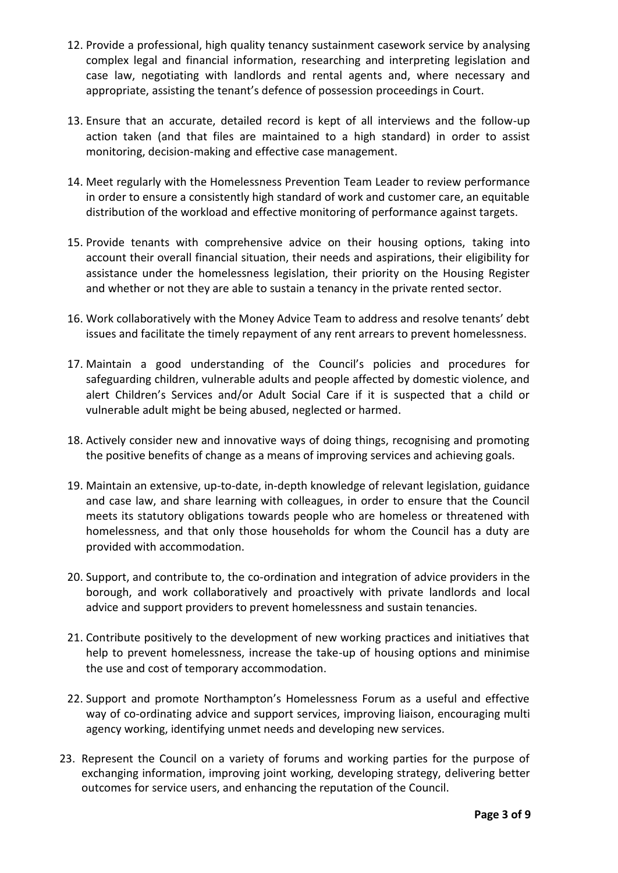- 12. Provide a professional, high quality tenancy sustainment casework service by analysing complex legal and financial information, researching and interpreting legislation and case law, negotiating with landlords and rental agents and, where necessary and appropriate, assisting the tenant's defence of possession proceedings in Court.
- 13. Ensure that an accurate, detailed record is kept of all interviews and the follow-up action taken (and that files are maintained to a high standard) in order to assist monitoring, decision-making and effective case management.
- 14. Meet regularly with the Homelessness Prevention Team Leader to review performance in order to ensure a consistently high standard of work and customer care, an equitable distribution of the workload and effective monitoring of performance against targets.
- 15. Provide tenants with comprehensive advice on their housing options, taking into account their overall financial situation, their needs and aspirations, their eligibility for assistance under the homelessness legislation, their priority on the Housing Register and whether or not they are able to sustain a tenancy in the private rented sector.
- 16. Work collaboratively with the Money Advice Team to address and resolve tenants' debt issues and facilitate the timely repayment of any rent arrears to prevent homelessness.
- 17. Maintain a good understanding of the Council's policies and procedures for safeguarding children, vulnerable adults and people affected by domestic violence, and alert Children's Services and/or Adult Social Care if it is suspected that a child or vulnerable adult might be being abused, neglected or harmed.
- 18. Actively consider new and innovative ways of doing things, recognising and promoting the positive benefits of change as a means of improving services and achieving goals.
- 19. Maintain an extensive, up-to-date, in-depth knowledge of relevant legislation, guidance and case law, and share learning with colleagues, in order to ensure that the Council meets its statutory obligations towards people who are homeless or threatened with homelessness, and that only those households for whom the Council has a duty are provided with accommodation.
- 20. Support, and contribute to, the co-ordination and integration of advice providers in the borough, and work collaboratively and proactively with private landlords and local advice and support providers to prevent homelessness and sustain tenancies.
- 21. Contribute positively to the development of new working practices and initiatives that help to prevent homelessness, increase the take-up of housing options and minimise the use and cost of temporary accommodation.
- 22. Support and promote Northampton's Homelessness Forum as a useful and effective way of co-ordinating advice and support services, improving liaison, encouraging multi agency working, identifying unmet needs and developing new services.
- 23. Represent the Council on a variety of forums and working parties for the purpose of exchanging information, improving joint working, developing strategy, delivering better outcomes for service users, and enhancing the reputation of the Council.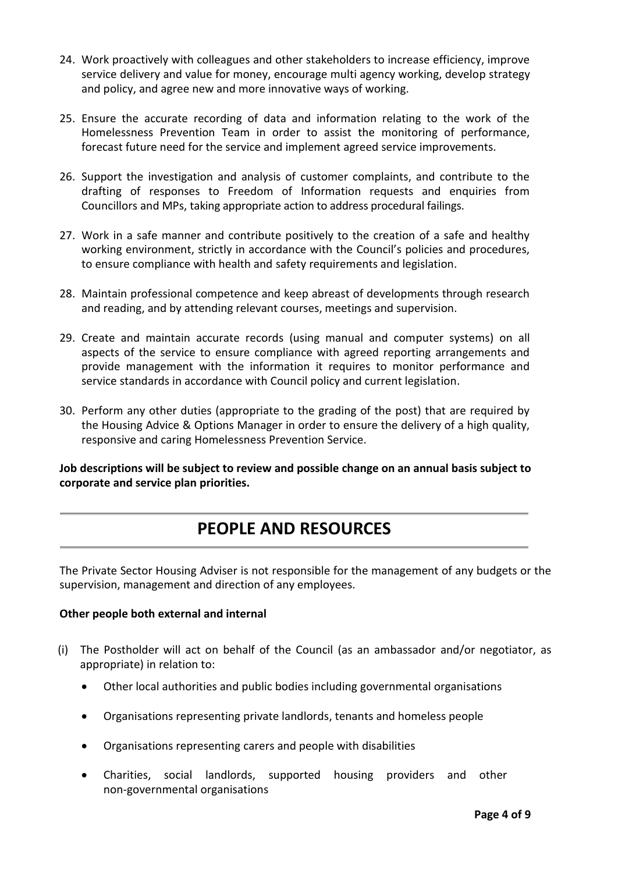- 24. Work proactively with colleagues and other stakeholders to increase efficiency, improve service delivery and value for money, encourage multi agency working, develop strategy and policy, and agree new and more innovative ways of working.
- 25. Ensure the accurate recording of data and information relating to the work of the Homelessness Prevention Team in order to assist the monitoring of performance, forecast future need for the service and implement agreed service improvements.
- 26. Support the investigation and analysis of customer complaints, and contribute to the drafting of responses to Freedom of Information requests and enquiries from Councillors and MPs, taking appropriate action to address procedural failings.
- 27. Work in a safe manner and contribute positively to the creation of a safe and healthy working environment, strictly in accordance with the Council's policies and procedures, to ensure compliance with health and safety requirements and legislation.
- 28. Maintain professional competence and keep abreast of developments through research and reading, and by attending relevant courses, meetings and supervision.
- 29. Create and maintain accurate records (using manual and computer systems) on all aspects of the service to ensure compliance with agreed reporting arrangements and provide management with the information it requires to monitor performance and service standards in accordance with Council policy and current legislation.
- 30. Perform any other duties (appropriate to the grading of the post) that are required by the Housing Advice & Options Manager in order to ensure the delivery of a high quality, responsive and caring Homelessness Prevention Service.

**Job descriptions will be subject to review and possible change on an annual basis subject to corporate and service plan priorities.**

## **PEOPLE AND RESOURCES**

The Private Sector Housing Adviser is not responsible for the management of any budgets or the supervision, management and direction of any employees.

#### **Other people both external and internal**

- (i) The Postholder will act on behalf of the Council (as an ambassador and/or negotiator, as appropriate) in relation to:
	- Other local authorities and public bodies including governmental organisations
	- Organisations representing private landlords, tenants and homeless people
	- Organisations representing carers and people with disabilities
	- Charities, social landlords, supported housing providers and other non-governmental organisations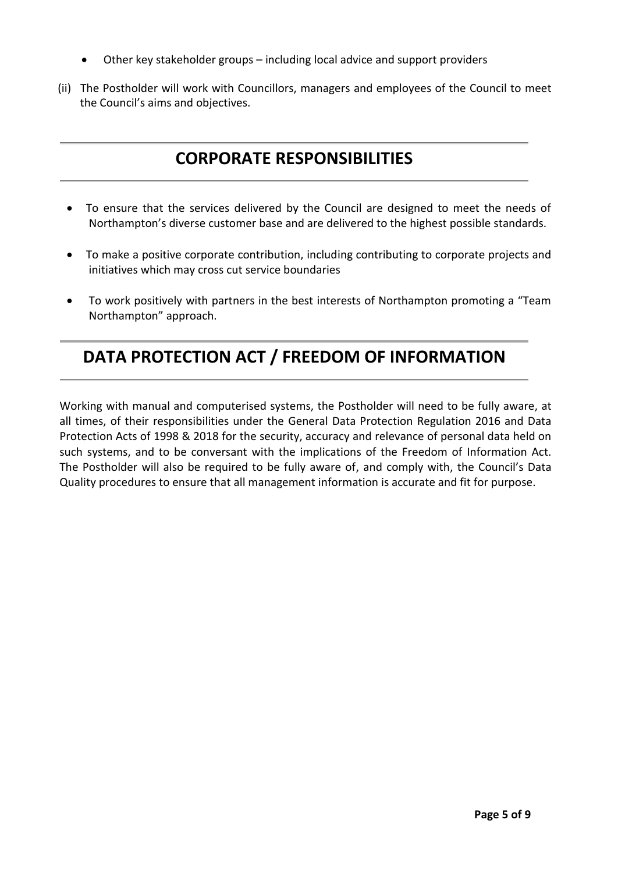- Other key stakeholder groups including local advice and support providers
- (ii) The Postholder will work with Councillors, managers and employees of the Council to meet the Council's aims and objectives.

# **CORPORATE RESPONSIBILITIES**

- To ensure that the services delivered by the Council are designed to meet the needs of Northampton's diverse customer base and are delivered to the highest possible standards.
- To make a positive corporate contribution, including contributing to corporate projects and initiatives which may cross cut service boundaries
- To work positively with partners in the best interests of Northampton promoting a "Team Northampton" approach.

## **DATA PROTECTION ACT / FREEDOM OF INFORMATION**

Working with manual and computerised systems, the Postholder will need to be fully aware, at all times, of their responsibilities under the General Data Protection Regulation 2016 and Data Protection Acts of 1998 & 2018 for the security, accuracy and relevance of personal data held on such systems, and to be conversant with the implications of the Freedom of Information Act. The Postholder will also be required to be fully aware of, and comply with, the Council's Data Quality procedures to ensure that all management information is accurate and fit for purpose.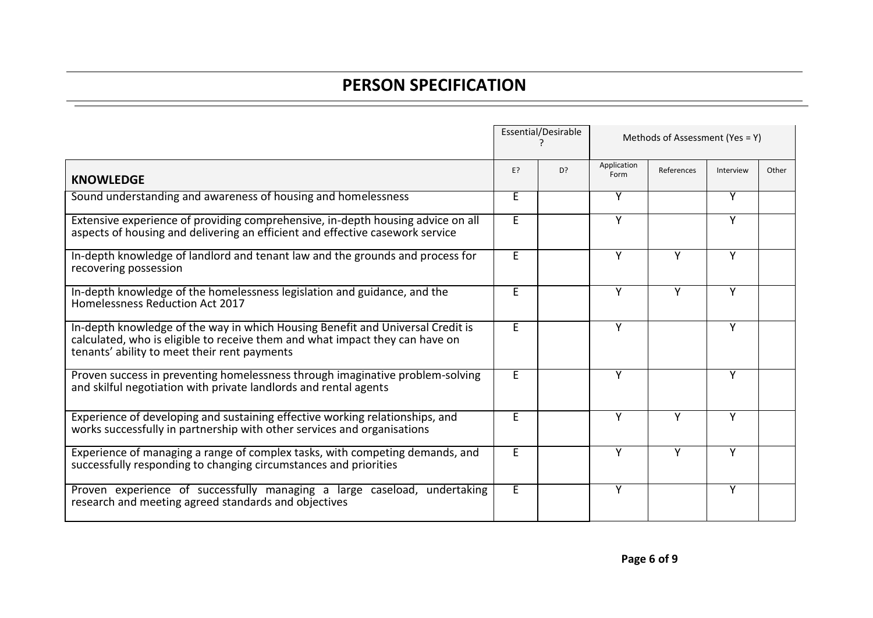## **PERSON SPECIFICATION**

|                                                                                                                                                                                                                |    | Essential/Desirable |                     | Methods of Assessment (Yes = Y) |           |       |  |
|----------------------------------------------------------------------------------------------------------------------------------------------------------------------------------------------------------------|----|---------------------|---------------------|---------------------------------|-----------|-------|--|
| <b>KNOWLEDGE</b>                                                                                                                                                                                               | E? | D?                  | Application<br>Form | References                      | Interview | Other |  |
| Sound understanding and awareness of housing and homelessness                                                                                                                                                  | E. |                     | Y                   |                                 | Y         |       |  |
| Extensive experience of providing comprehensive, in-depth housing advice on all<br>aspects of housing and delivering an efficient and effective casework service                                               | E. |                     | Y                   |                                 | Y         |       |  |
| In-depth knowledge of landlord and tenant law and the grounds and process for<br>recovering possession                                                                                                         | E  |                     | Y                   | Y                               | Υ         |       |  |
| In-depth knowledge of the homelessness legislation and guidance, and the<br>Homelessness Reduction Act 2017                                                                                                    | E  |                     | Y                   | Y                               | Y         |       |  |
| In-depth knowledge of the way in which Housing Benefit and Universal Credit is<br>calculated, who is eligible to receive them and what impact they can have on<br>tenants' ability to meet their rent payments | E  |                     | Y                   |                                 | Υ         |       |  |
| Proven success in preventing homelessness through imaginative problem-solving<br>and skilful negotiation with private landlords and rental agents                                                              | E. |                     | Y                   |                                 | Υ         |       |  |
| Experience of developing and sustaining effective working relationships, and<br>works successfully in partnership with other services and organisations                                                        | E  |                     | Y                   | Y                               | Y         |       |  |
| Experience of managing a range of complex tasks, with competing demands, and<br>successfully responding to changing circumstances and priorities                                                               | E. |                     | Y                   | Y                               | Υ         |       |  |
| Proven experience of successfully managing a large caseload, undertaking<br>research and meeting agreed standards and objectives                                                                               | E. |                     | Y                   |                                 | Υ         |       |  |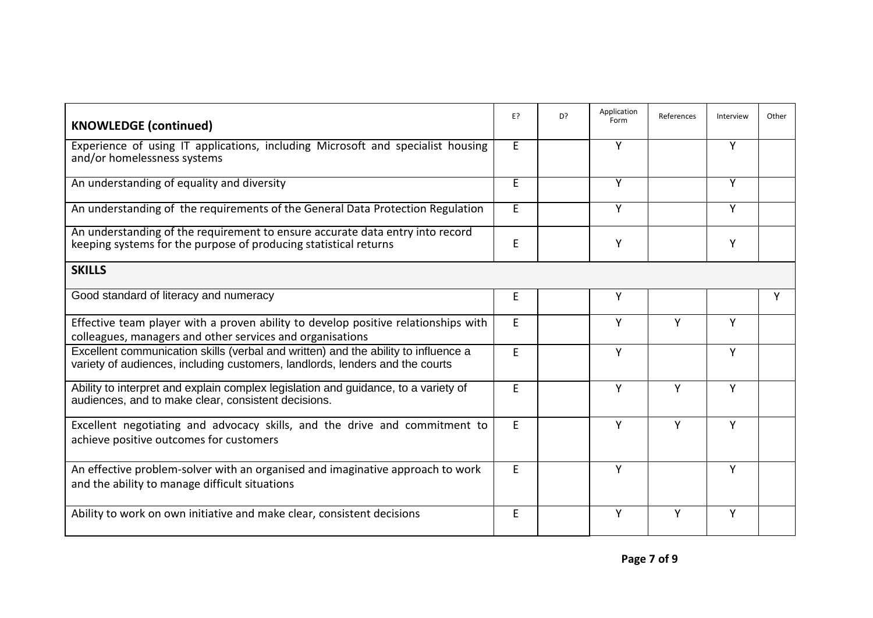| <b>KNOWLEDGE (continued)</b>                                                                                                                                       | E? | D? | Application<br>Form | References | Interview | Other |
|--------------------------------------------------------------------------------------------------------------------------------------------------------------------|----|----|---------------------|------------|-----------|-------|
| Experience of using IT applications, including Microsoft and specialist housing<br>and/or homelessness systems                                                     | E. |    | Y                   |            | Y         |       |
| An understanding of equality and diversity                                                                                                                         |    |    | Y                   |            | Y         |       |
| An understanding of the requirements of the General Data Protection Regulation                                                                                     | E. |    | Y                   |            | Y         |       |
| An understanding of the requirement to ensure accurate data entry into record<br>keeping systems for the purpose of producing statistical returns                  |    |    | Y                   |            | Υ         |       |
| <b>SKILLS</b>                                                                                                                                                      |    |    |                     |            |           |       |
| Good standard of literacy and numeracy                                                                                                                             | E  |    | Y                   |            |           | Y     |
| Effective team player with a proven ability to develop positive relationships with<br>colleagues, managers and other services and organisations                    | E. |    | Y                   | Y          | Y         |       |
| Excellent communication skills (verbal and written) and the ability to influence a<br>variety of audiences, including customers, landlords, lenders and the courts | E. |    | Y                   |            | Y         |       |
| Ability to interpret and explain complex legislation and guidance, to a variety of<br>audiences, and to make clear, consistent decisions.                          | E  |    | Y                   | Y          | Y         |       |
| Excellent negotiating and advocacy skills, and the drive and commitment to<br>achieve positive outcomes for customers                                              | E. |    | Y                   | Y          | Y         |       |
| An effective problem-solver with an organised and imaginative approach to work<br>and the ability to manage difficult situations                                   | E. |    | Y                   |            | Y         |       |
| Ability to work on own initiative and make clear, consistent decisions                                                                                             |    |    | Y                   | Y          | Y         |       |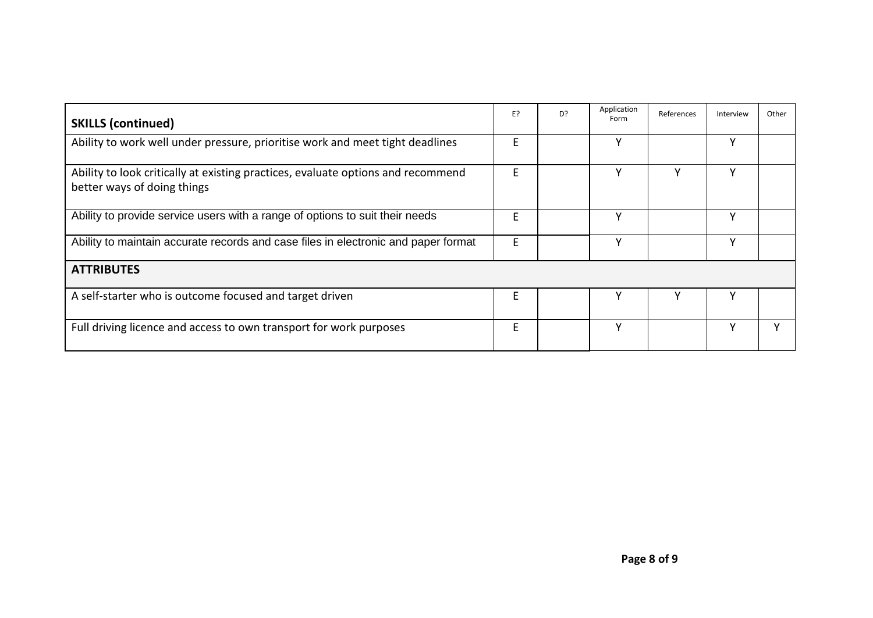| <b>SKILLS (continued)</b>                                                                                       | E? | D <sub>2</sub> | Application<br>Form | References | Interview | Other |
|-----------------------------------------------------------------------------------------------------------------|----|----------------|---------------------|------------|-----------|-------|
| Ability to work well under pressure, prioritise work and meet tight deadlines                                   | F  |                |                     |            | ٧         |       |
| Ability to look critically at existing practices, evaluate options and recommend<br>better ways of doing things | F  |                |                     |            | v         |       |
| Ability to provide service users with a range of options to suit their needs                                    | F  |                | ٧                   |            | v         |       |
| Ability to maintain accurate records and case files in electronic and paper format                              | E  |                |                     |            | v         |       |
| <b>ATTRIBUTES</b>                                                                                               |    |                |                     |            |           |       |
| A self-starter who is outcome focused and target driven                                                         | F  |                |                     |            |           |       |
| Full driving licence and access to own transport for work purposes                                              | E  |                | ν                   |            | ۷         |       |